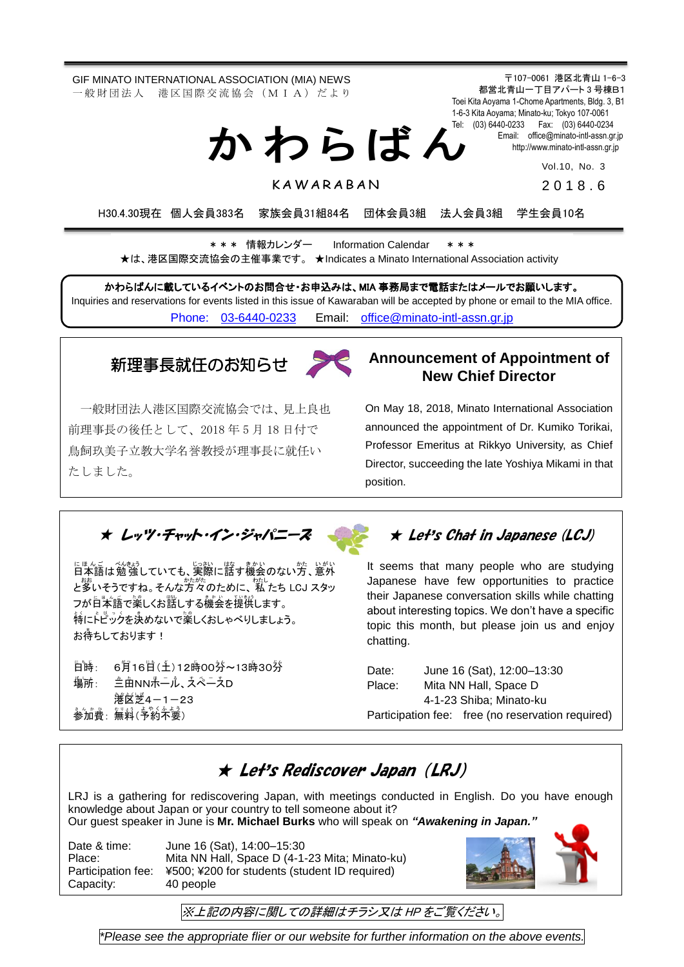GIF MINATO INTERNATIONAL ASSOCIATION (MIA) NEWS 一 般 財 団 法 人 港 区 国 際 交 流 協 会 (M I A) だ よ り

か わ ら ば ん

〒107-0061 港区北青山 1-6-3 都営北青山一丁目アパート 3 号棟B1 Toei Kita Aoyama 1-Chome Apartments, Bldg. 3, B1 1-6-3 Kita Aoyama; Minato-ku; Tokyo 107-0061 Tel: (03) 6440-0233 Fax: (03) 6440-0234 Email: [office@minato-intl-assn.gr.jp](mailto:office@minato-intl-assn.gr.jp) [http://www.minato-intl-assn.gr.jp](http://www.minato-intl-assn.gr.jp/)

Vol.10, No. 3

**KAWARABAN** 

201 8 . 6

H30.4.30現在 個人会員383名 家族会員31組84名 団体会員3組 法人会員3組 学生会員10名

\* \* \* 情報カレンダー Information Calendar \* \* \* ★は、港区国際交流協会の主催事業です。 ★Indicates a Minato International Association activity

かわらばんに載しているイベントのお問合せ・お申込みは、MIA 事務局まで電話またはメールでお願いします。 Inquiries and reservations for events listed in this issue of Kawaraban will be accepted by phone or email to the MIA office. [Phone: 03-6440-0233](mailto:Phone:%20%2003-6440-0233) Email: [office@minato-intl-assn.gr.jp](mailto:office@minato-intl-assn.gr.jp)

# 新理事長就任のお知らせ



一般財団法人港区国際交流協会では、見上良也 前理事長の後任として、2018 年 5 月 18 日付で 鳥飼玖美子立教大学名誉教授が理事長に就任い たしました。

#### **Announcement of Appointment of New Chief Director**

On May 18, 2018, Minato International Association announced the appointment of Dr. Kumiko Torikai, Professor Emeritus at Rikkyo University, as Chief Director, succeeding the late Yoshiya Mikami in that position.

★ レッツ・チャット・イン・ジャパニーズ

にほんご べきょう<br>日本語は勉強していても、実際に話す機会のない方、意外 と。<br>と多いそうですね。そんな方々のために、 私 たち LCJ スタッ フが自本語で薬しくお話しする機会を提撰します。 特にトピックを決めないで薬しくおしゃべりしましょう。 お待ちしております!

日時 しんじょう : 6月16日(土)12時00券~13時30券 場所: : 三亩NN尗一ル、スペースD **篝** 送 4-1-23 …<br>参加費: 無料(予約不要)

#### ★ Let's Chat in Japanese (LCJ)

It seems that many people who are studying Japanese have few opportunities to practice their Japanese conversation skills while chatting about interesting topics. We don't have a specific topic this month, but please join us and enjoy chatting.

Date: June 16 (Sat), 12:00–13:30 Place: Mita NN Hall, Space D 4-1-23 Shiba; Minato-ku Participation fee: free (no reservation required)

#### ★ Let's Rediscover Japan (LRJ)

LRJ is a gathering for rediscovering Japan, with meetings conducted in English. Do you have enough knowledge about Japan or your country to tell someone about it? Our guest speaker in June is **Mr. Michael Burks** who will speak on *"Awakening in Japan."*

Capacity: 40 people

Date & time: June 16 (Sat), 14:00–15:30 Place: Mita NN Hall, Space D (4-1-23 Mita; Minato-ku)<br>Participation fee: ¥500; ¥200 for students (student ID required) ¥500; ¥200 for students (student ID required)



※上記の内容に関しての詳細はチラシ又は HP をご覧ください。

*\*Please see the appropriate flier or our website for further information on the above events.*